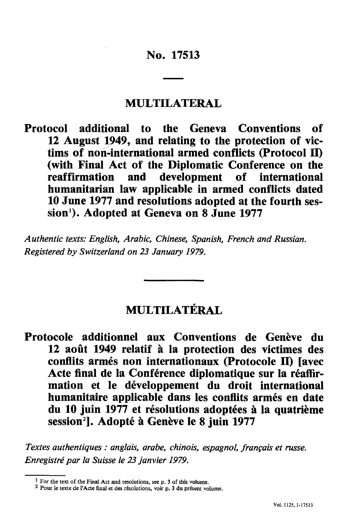# **No. 17513**

# **MULTILATERAL**

**Protocol additional to the Geneva Conventions of**  12 August 1949, and relating to the protection of vic**tims of non-international armed conflicts (Protocol II) (with Final Act of the Diplomatic Conference on the reaffirmation and development of international humanitarian law applicable in armed conflicts dated 10 June 1977 and resolutions adopted at the fourth ses sion 1 )- Adopted at Geneva on 8 June 1977** 

*Authentic texts: English, Arabic, Chinese, Spanish, French and Russian. Registered by Switzerland on 23 January 1979.* 

# **MULTILATERAL**

**Protocole additionnel aux Conventions de Genève du 12 août 1949 relatif à la protection des victimes des conflits armés non internationaux (Protocole II) [avec Acte final de la Conférence diplomatique sur la réaffir mation et le développement du droit international humanitaire applicable dans les conflits armés en date du 10 juin 1977 et résolutions adoptées à la quatrième session2 ]. Adopté à Genève le 8 juin 1977** 

*Textes authentiques : anglais, arabe, chinois, espagnol, français et russe. Enregistré par la Suisse le 23 janvier 1979.* 

<sup>&</sup>lt;sup>1</sup> For the text of the Final Act and resolutions, see p. 3 of this volume.

<sup>&</sup>lt;sup>1</sup> For the text of the Final Act and resolutions, see p. 3 of this volume.<br><sup>2</sup> Pour le texte de l'Acte final et des résolutions, voir p. 3 du présent volume.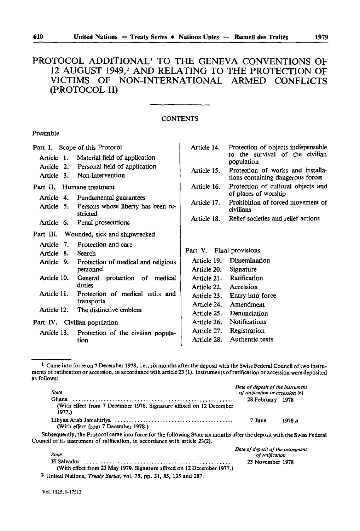# PROTOCOL ADDITIONAL<sup>1</sup> TO THE GENEVA CONVENTIONS OF 12 AUGUST 1949,<sup>2</sup> AND RELATING TO THE PROTECTION OF VICTIMS OF NON-INTERNATIONAL ARMED CONFLICTS (PROTOCOL II)

#### **CONTENTS**

#### Preamble

|                                         | Part I. Scope of this Protocol                 | Protection of objects indispensable<br>Article 14. |                                                            |  |
|-----------------------------------------|------------------------------------------------|----------------------------------------------------|------------------------------------------------------------|--|
| Article 1.                              | Material field of application                  |                                                    | to the survival of the civilian<br>population              |  |
| Article 2.                              | Personal field of application                  | Article 15.                                        | Protection of works and installa-                          |  |
| Article 3.                              | Non-intervention                               |                                                    | tions containing dangerous forces                          |  |
| Part II.                                | Humane treatment                               | Article 16.                                        | Protection of cultural objects and<br>of places of worship |  |
| Article 4.                              | Fundamental guarantees                         | Article 17.                                        | Prohibition of forced movement of                          |  |
| Article 5.                              | Persons whose liberty has been re-<br>stricted |                                                    | civilians                                                  |  |
|                                         | Article 6. Penal prosecutions                  | Article 18.                                        | Relief societies and relief actions                        |  |
|                                         |                                                |                                                    |                                                            |  |
| Part III. Wounded, sick and shipwrecked |                                                |                                                    |                                                            |  |
|                                         | Article 7. Protection and care                 |                                                    |                                                            |  |
| Article 8.                              | <b>Search</b>                                  | Part V. Final provisions                           |                                                            |  |
| Article 9.                              | Protection of medical and religious            | Article 19.                                        | Dissemination                                              |  |
|                                         | personnel                                      | Article 20.                                        | Signature                                                  |  |
| Article 10.                             | General protection of medical                  | Article 21.                                        | Ratification                                               |  |
|                                         | duties                                         | Article 22.                                        | Accession.                                                 |  |
| Article 11.                             | Protection of medical units and                | Article 23.                                        | Entry into force                                           |  |
|                                         | transports                                     | Article 24.                                        | Amendment                                                  |  |
| Article 12.                             | The distinctive emblem                         | Article 25.                                        | Denunciation                                               |  |
| Part IV. Civilian population            |                                                | Article 26.                                        | Notifications                                              |  |
| Article 13.                             | Protection of the civilian popula-             | Article 27.                                        | Registration                                               |  |
|                                         | tion                                           | Article 28.                                        | Authentic texts                                            |  |

<sup>&</sup>lt;sup>1</sup> Came into force on 7 December 1978, i.e., six months after the deposit with the Swiss Federal Council of two instruments of ratification or accession, in accordance with article 23 (1). Instruments of ratification or accession were deposited as follows:

| State                                                                                                              | Date of deposit of the instrument<br>of ratification or accession (a) |       |
|--------------------------------------------------------------------------------------------------------------------|-----------------------------------------------------------------------|-------|
| Ghana<br>(With effect from 7 December 1978, Signature affixed on 12 December<br>1977.)                             | 28 February 1978                                                      |       |
| (With effect from 7 December 1978.)                                                                                | 7 June                                                                | 1978a |
| Subsequently, the Protocol came into force for the following State six months after the deposit with the Swiss Fed |                                                                       |       |

Subsequently, the Protocol came into force for the following State six months after the deposit with the Swiss Federal Council of its instrument of ratification, in accordance with article 23(2).

| State                                                                                 | Date of deposit of the instrument<br>of ratification |
|---------------------------------------------------------------------------------------|------------------------------------------------------|
|                                                                                       | 23 November 1978                                     |
| (With effect from 23 May 1979. Signature affixed on 12 December 1977.)                |                                                      |
| <sup>2</sup> United Nations, <i>Treaty Series</i> , vol. 75, pp. 31, 85, 135 and 287. |                                                      |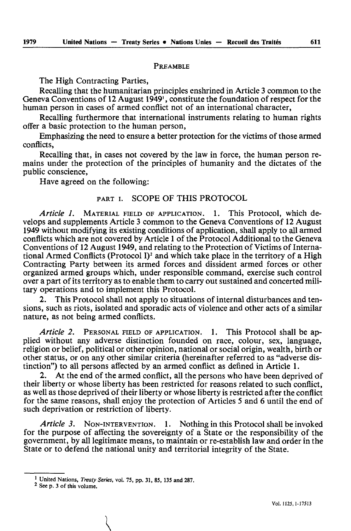#### **PREAMBLE**

The High Contracting Parties,

Recalling that the humanitarian principles enshrined in Article 3 common to the Geneva Conventions of 12 August 1949', constitute the foundation of respect for the human person in cases of armed conflict not of an international character,

Recalling furthermore that international instruments relating to human rights offer a basic protection to the human person,

Emphasizing the need to ensure a better protection for the victims of those armed conflicts,

Recalling that, in cases not covered by the law in force, the human person re mains under the protection of the principles of humanity and the dictates of the public conscience,

Have agreed on the following:

#### PART I. SCOPE OF THIS PROTOCOL

*Article 1.* MATERIAL FIELD OF APPLICATION. 1. This Protocol, which de velops and supplements Article 3 common to the Geneva Conventions of 12 August 1949 without modifying its existing conditions of application, shall apply to all armed conflicts which are not covered by Article 1 of the Protocol Additional to the Geneva Conventions of 12 August 1949, and relating to the Protection of Victims of Interna tional Armed Conflicts (Protocol I)<sup>2</sup> and which take place in the territory of a High Contracting Party between its armed forces and dissident armed forces or other organized armed groups which, under responsible command, exercise such control over a part of its territory as to enable them to carry out sustained and concerted mili tary operations and to implement this Protocol.

2. This Protocol shall not apply to situations of internal disturbances and ten sions, such as riots, isolated and sporadic acts of violence and other acts of a similar nature, as not being armed conflicts.

*Article 2.* PERSONAL FIELD OF APPLICATION. 1. This Protocol shall be ap plied without any adverse distinction founded on race, colour, sex, language, religion or belief, political or other opinion, national or social origin, wealth, birth or other status, or on any other similar criteria (hereinafter referred to as "adverse dis tinction") to all persons affected by an armed conflict as denned in Article 1.

2. At the end of the armed conflict, all the persons who have been deprived of their liberty or whose liberty has been restricted for reasons related to such conflict, as well as those deprived of their liberty or whose liberty is restricted after the conflict for the same reasons, shall enjoy the protection of Articles 5 and 6 until the end of such deprivation or restriction of liberty.

*Article 3.* NON-INTERVENTION. 1. Nothing in this Protocol shall be invoked for the purpose of affecting the sovereignty of a State or the responsibility of the government, by all legitimate means, to maintain or re-establish law and order in the State or to defend the national unity and territorial integrity of the State.

<sup>1</sup> United Nations, *Treaty Series,* vol. 75, pp. 31, 85, 135 and 287. 2 See p. 3 of this volume.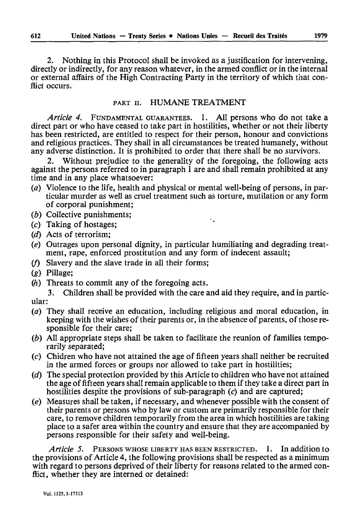2. Nothing in this Protocol shall be invoked as a justification for intervening, directly or indirectly, for any reason whatever, in the armed conflict or in the internal or external affairs of the High Contracting Party i

### PART **II.** HUMANE TREATMENT

Article 4. FUNDAMENTAL GUARANTEES. 1. All persons who do not take a direct part or who have ceased to take part in hostilities, whether or not their liberty has been restricted, are entitled to respect for their person, ho

2. Without prejudice to the generality of the foregoing, the following acts against the persons referred to in paragraph 1 are and shall remain prohibited at any time and in any place whatsoever:

*(a)*  Violence to the life, health and physical or mental well-being of persons, in par ticular murder as well as cruel treatment such as torture, mutilation or any form of corporal punishment;

٠.

- (b) Collective punishments:
- (c) Taking of hostages;
- *(d)* Acts of terrorism;
- *(e)* Outrages upon personal dignity, in particular humiliating and degrading treatment, rape, enforced prostitution and any form of indecent assault;
- ( $f$ ) Slavery and the slave trade in all their forms;
- *(g)*  Pillage;
- *(h)*  Threats to commit any of the foregoing acts.

3. Children shall be provided with the care and aid they require, and in partic ular:

- (a) They shall receive an education, including religious and moral education, in keeping with the wishes of their parents or, in the absence of parents, of those re sponsible for their care;
- *(b)* All appropriate steps shall be taken to facilitate the reunion of families temporarily separated;
- (c) Chidren who have not attained the age of fifteen years shall neither be recruited in the armed forces or groups nor allowed to take part in hostilities;
- (*d*) The special protection provided by this Article to children who have not attained the age of fifteen years shall remain applicable to them if they take a direct part in hostilities despite the provisions of sub-para
- (e) Measures shall be taken, if necessary, and whenever possible with the consent of their parents or persons who by law or custom are primarily responsible for their care, to remove children temporarily from the area in w persons responsible for their safety and well-being.

Article 5. PERSONS WHOSE LIBERTY HAS BEEN RESTRICTED. 1. In addition to the provisions of Article 4, the following provisions shall be respected as a minimum with regard to persons deprived of their liberty for reasons rel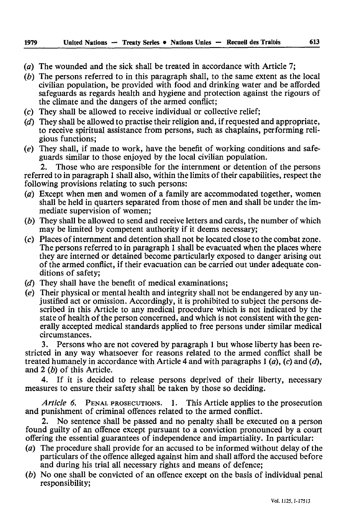- (a) The wounded and the sick shall be treated in accordance with Article 7;
- (b) The persons referred to in this paragraph shall, to the same extent as the local civilian population, be provided with food and drinking water and be afforded safeguards as regards health and hygiene and protection ag
- (c) They shall be allowed to receive individual or collective relief;
- *(d)* They shall be allowed to practise their religion and, if requested and appropriate, to receive spiritual assistance from persons, such as chaplains, performing reli gious functions;
- *(e)* They shall, if made to work, have the benefit of working conditions and safe-<br>guards similar to those enjoyed by the local civilian population.<br>2. Those who are responsible for the internment or detention of the pers

referred to in paragraph 1 shall also, within the limits of their capabilities, respect the following provisions relating to such persons:

- *(a)* Except when men and women of a family are accommodated together, women shall be held in quarters separated from those of men and shall be under the immediate supervision of women;
- (b) They shall be allowed to send and receive letters and cards, the number of which may be limited by competent authority if it deems necessary;
- (c) Places of internment and detention shall not be located close to the combat zone.<br>The persons referred to in paragraph 1 shall be evacuated when the places where<br>they are interned or detained become particularly expose
- *(d)* They shall have the benefit of medical examinations;
- (e) Their physical or mental health and integrity shall not be endangered by any unjustified act or omission. Accordingly, it is prohibited to subject the persons described in this Article to any medical procedure which is

3. Persons who are not covered by paragraph 1 but whose liberty has been re-<br>stricted in any way whatsoever for reasons related to the armed conflict shall be<br>treated humanely in accordance with Article 4 and with paragra and 2 *(b)* of this Article.

4. If it is decided to release persons deprived of their liberty, necessary measures to ensure their safety shall be taken by those so deciding.

*Article 6.* PENAL PROSECUTIONS. 1. This Article applies to the prosecution and punishment of criminal offences related to the armed conflict.

2. No sentence shall be passed and no penalty shall be executed on a person found guilty of an offence except pursuant to a conviction pronounced by a court offering the essential guarantees of independence and impartialit

- ( $a$ ) The procedure shall provide for an accused to be informed without delay of the particulars of the offence alleged against him and shall afford the accused before and during his trial all necessary rights and means o
- *(b)* No one shall be convicted of an offence except on the basis of individual penal responsibility;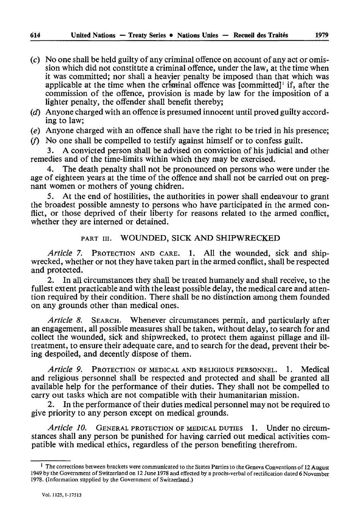- *(c)*  No one shall be held guilty of any criminal offence on account of any act or omis sion which did not constitute a criminal offence, under the law, at the time when it was committed; nor shall a heavier penalty be imposed than that which was applicable at the time when the criminal offence was [committed]<sup>1</sup> if, after the commission of the offence, provision is made by law for the imposition of a lighter penalty, the offender shall benefit thereby;
- *(d)* Anyone charged with an offence is presumed innocent until proved guilty accord ing to law;
- *(e)* Anyone charged with an offence shall have the right to be tried in his presence;
- $(f)$  No one shall be compelled to testify against himself or to confess guilt.

3. A convicted person shall be advised on conviction of his judicial and other remedies and of the time-limits within which they may be exercised.

4. The death penalty shall not be pronounced on persons who were under the age of eighteen years at the time of the offence and shall not be carried out on preg nant women or mothers of young chidren.

5. At the end of hostilities, the authorities in power shall endeavour to grant the broadest possible amnesty to persons who have participated in the armed con flict, or those deprived of their liberty for reasons related to the armed conflict, whether they are interned or detained.

## PART III. WOUNDED, SICK AND SHIPWRECKED

*Article 7.* PROTECTION AND CARE. 1. All the wounded, sick and ship wrecked, whether or not they have taken part in the armed conflict, shall be respected and protected.

2. In all circumstances they shall be treated humanely and shall receive, to the fullest extent practicable and with the least possible delay, the medical care and atten tion required by their condition. There shall be no distinction among them founded on any grounds other than medical ones.

*Article 8.* SEARCH. Whenever circumstances permit, and particularly after an engagement, all possible measures shall be taken, without delay, to search for and collect the wounded, sick and shipwrecked, to protect them against pillage and illtreatment, to ensure their adequate care, and to search for the dead, prevent their be ing despoiled, and decently dispose of them.

*Article 9.* PROTECTION OF MEDICAL AND RELIGIOUS PERSONNEL. 1. Medical and religious personnel shall be respected and protected and shall be granted all available help for the performance of their duties. They shall not be compelled to carry out tasks which are not compatible with their humanitarian mission.

2. In the performance of their duties medical personnel may not be required to give priority to any person except on medical grounds.

*Article 10.* GENERAL PROTECTION OF MEDICAL DUTIES 1. Under no circum stances shall any person be punished for having carried out medical activities com patible with medical ethics, regardless of the person benefiting therefrom.

 $^1\,$  The corrections between brackets were communicated to the States Parties to the Geneva Conventions of 12 August 1949 by the Government of Switzerland on 12 June 1978 and effected by a procès-verbal of rectification dated 6 November 1978. (Information supplied by the Government of Switzerland.)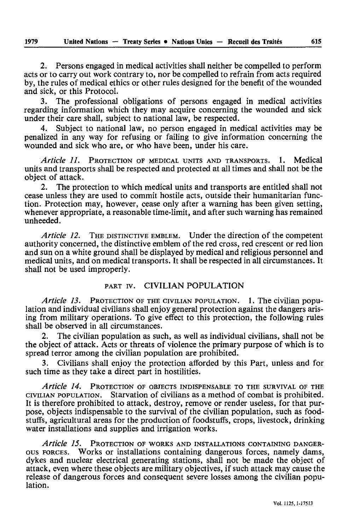2. Persons engaged in medical activities shall neither be compelled to perform acts or to carry out work contrary to, nor be compelled to refrain from acts required by, the rules of medical ethics or other rules designed for the benefit of the wounded and sick, or this Protocol.

3. The professional obligations of persons engaged in medical activities regarding information which they may acquire concerning the wounded and sick under their care shall, subject to national law, be respected.

4. Subject to national law, no person engaged in medical activities may be penalized in any way for refusing or failing to give information concerning the wounded and sick who are, or who have been, under his care.

*Article 11.* PROTECTION OF MEDICAL UNITS AND TRANSPORTS. 1. Medical units and transports shall be respected and protected at all times and shall not be the object of attack.

2. The protection to which medical units and transports are entitled shall not cease unless they are used to commit hostile acts, outside their humanitarian func tion. Protection may, however, cease only after a warning has been given setting, whenever appropriate, a reasonable time-limit, and after such warning has remained unheeded.

*Article 12.* THE DISTINCTIVE EMBLEM. Under the direction of the competent authority concerned, the distinctive emblem of the red cross, red crescent or red lion and sun on a white ground shall be displayed by medical and religious personnel and medical units, and on medical transports. It shall be respected in all circumstances. It shall not be used improperly.

### PART iv. CIVILIAN POPULATION

*Article 13.* PROTECTION OF THE CIVILIAN POPULATION. 1. The civilian popu lation and individual civilians shall enjoy general protection against the dangers aris ing from military operations. To give effect to this protection, the following rules shall be observed in all circumstances.

2. The civilian population as such, as well as individual civilians, shall not be the object of attack. Acts or threats of violence the primary purpose of which is to spread terror among the civilian population are prohibited.

3. Civilians shall enjoy the protection afforded by this Part, unless and for such time as they take a direct part in hostilities.

*Article 14.* PROTECTION OF OBJECTS INDISPENSABLE TO THE SURVIVAL OF THE CIVILIAN POPULATION. Starvation of civilians as a method of combat is prohibited. It is therefore prohibited to attack, destroy, remove or render useless, for that pur pose, objects indispensable to the survival of the civilian population, such as food stuffs, agricultural areas for the production of foodstuffs, crops, livestock, drinking water installations and supplies and irrigation works.

*Article 15.* PROTECTION OF WORKS AND INSTALLATIONS CONTAINING DANGER OUS FORCES. Works or installations containing dangerous forces, namely dams, dykes and nuclear electrical generating stations, shall not be made the object of attack, even where these objects are military objectives, if such attack may cause the release of dangerous forces and consequent severe losses among the civilian population.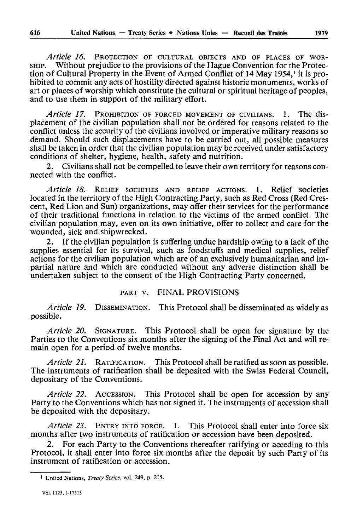*Article 16.* PROTECTION OF CULTURAL OBJECTS AND OF PLACES OF WORSHIP. Without prejudice to the provisions of the Hague Convention for the Protec-Without prejudice to the provisions of the Hague Convention for the Protection of Cultural Property in the Event of Armed Conflict of 14 May 1954,' it is pro hibited to commit any acts of hostility directed against historic monuments, works of art or places of worship which constitute the cultural or spiritual heritage of peoples, and to use them in support of the military effort.

*Article 17.* PROHIBITION OF FORCED MOVEMENT OF CIVILIANS. 1. The dis placement of the civilian population shall not be ordered for reasons related to the conflict unless the security of the civilians involved or imperative military reasons so demand. Should such displacements have to be carried out, all possible measures shall be taken in order that the civilian population may be received under satisfactory conditions of shelter, hygiene, health, safety and nutrition.

2. Civilians shall not be compelled to leave their own territory for reasons con nected with the conflict.

*Article 18.* RELIEF SOCIETIES AND RELIEF ACTIONS. 1. Relief societies located in the territory of the High Contracting Party, such as Red Cross (Red Cres cent, Red Lion and Sun) organizations, may offer their services for the performance of their traditional functions in relation to the victims of the armed conflict. The civilian population may, even on its own initiative, offer to collect and care for the wounded, sick and shipwrecked.

2. If the civilian population is suffering undue hardship owing to a lack of the supplies essential for its survival, such as foodstuffs and medical supplies, relief actions for the civilian population which are of an exclusively humanitarian and im partial nature and which are conducted without any adverse distinction shall be undertaken subject to the consent of the High Contracting Party concerned.

#### PART v. FINAL PROVISIONS

*Article 19.* DISSEMINATION. This Protocol shall be disseminated as widely as possible.

*Article 20.* SIGNATURE. This Protocol shall be open for signature by the Parties to the Conventions six months after the signing of the Final Act and will re main open for a period of twelve months.

*Article 21.* RATIFICATION. This Protocol shall be ratified as soon as possible. The instruments of ratification shall be deposited with the Swiss Federal Council, depositary of the Conventions.

*Article 22.* ACCESSION. This Protocol shall be open for accession by any Party to the Conventions which has not signed it. The instruments of accession shall be deposited with the depositary.

*Article 23.* ENTRY INTO FORCE. 1. This Protocol shall enter into force six months after two instruments of ratification or accession have been deposited.

2. For each Party to the Conventions thereafter ratifying or acceding to this Protocol, it shall enter into force six months after the deposit by such Party of its instrument of ratification or accession.

<sup>1</sup> United Nations, *Treaty Series,* vol. 249, p. 215.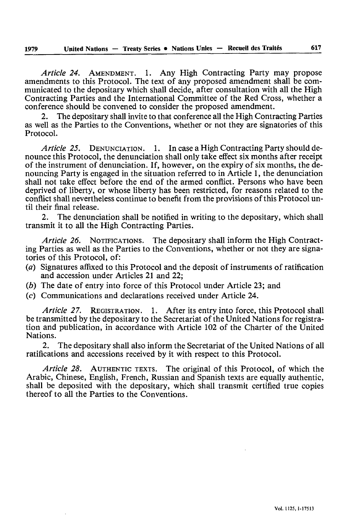*Article 24.* AMENDMENT. 1. Any High Contracting Party may propose amendments to this Protocol. The text of any proposed amendment shall be com municated to the depositary which shall decide, after consultation with all the High Contracting Parties and the International Committee of the Red Cross, whether a conference should be convened to consider the proposed amendment.

2. The depositary shall invite to that conference all the High Contracting Parties as well as the Parties to the Conventions, whether or not they are signatories of this Protocol.

*Article 25.* DENUNCIATION. 1. In case a High Contracting Party should de nounce this Protocol, the denunciation shall only take effect six months after receipt of the instrument of denunciation. If, however, on the expiry of six months, the de nouncing Party is engaged in the situation referred to in Article 1, the denunciation shall not take effect before the end of the armed conflict. Persons who have been deprived of liberty, or whose liberty has been restricted, for reasons related to the conflict shall nevertheless continue to benefit from the provisions of this Protocol un til their final release.

2. The denunciation shall be notified in writing to the depositary, which shall transmit it to all the High Contracting Parties.

*Article 26.* NOTIFICATIONS. The depositary shall inform the High Contract ing Parties as well as the Parties to the Conventions, whether or not they are signa tories of this Protocol, of:

- *(a)*  Signatures affixed to this Protocol and the deposit of instruments of ratification and accession under Articles 21 and 22;
- (b) The date of entry into force of this Protocol under Article 23; and
- (c) Communications and declarations received under Article 24.

*Article 27.* REGISTRATION. 1. After its entry into force, this Protocol shall be transmitted by the depositary to the Secretariat of the United Nations for registra tion and publication, in accordance with Article 102 of the Charter of the United Nations.

2. The depositary shall also inform the Secretariat of the United Nations of all ratifications and accessions received by it with respect to this Protocol.

*Article 28.* AUTHENTIC TEXTS. The original of this Protocol, of which the Arabic, Chinese, English, French, Russian and Spanish texts are equally authentic, shall be deposited with the depositary, which shall transmit certified true copies thereof to all the Parties to the Conventions.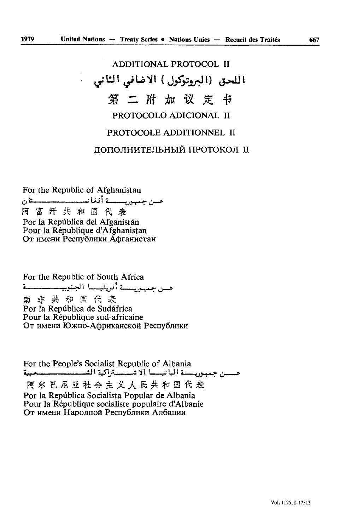# ADDITIONAL PROTOCOL II اللحق (البروتوكول) الاضافي الثاني 第二附加议定书 PROTOCOLO ADICIONAL II PROTOCOLE ADDITIONNEL II ЛОПОЛНИТЕЛЬНЫЙ ПРОТОКОЛ II

For the Republic of Afghanistan عسن جمهوريسسسة أفغانسىسسىسمىسسىتان 阿富汗共和国代表 Por la República del Afganistán Pour la République d'Afghanistan От имени Республики Афганистан

For the Republic of South Africa عسن جمهوريسسة أنريقيسما الجنوبيسمسمسمة 南非共和国代表 Por la República de Sudáfrica Pour la République sud-africaine От имени Южно-Африканской Республики

For the People's Socialist Republic of Albania عسسن جمهوريسسة البانيسسا الاشتسستراكية الشمسمستسمعيية 阿尔巴尼亚社会主义人民共和国代表 Por la República Socialista Popular de Albania Pour la République socialiste populaire d'Albanie От имени Народной Республики Албании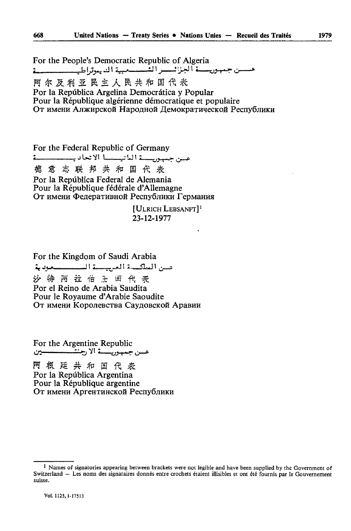For the People's Democratic Republic of Algeria عسسن جمهوريسسة ألجزائمسر الشمسسعبية الديموتراطيسمسمسمسمة 阿尔及利亚民主人民共和国代表 Por la República Argelina Democrática y Popular Pour la République algérienne démocratique et populaire От имени Алжирской Народной Демократической Республики

For the Federal Republic of Germany عسن جيهوريسية العانيسسيا الاتحاد بمستسسسية 德意志联邦共和国代表 Por la República Federal de Alemania Pour la République fédérale d'Allemagne От имени Федеративной Республики Германия

> [ULRICH LEBSANFT]<sup>1</sup> 23-12-1977

For the Kingdom of Saudi Arabia عبن الملكسة العربيسية المستستعودية 沙特河拉伯王闰代表 Por el Reino de Arabia Saudita Pour le Rovaume d'Arabie Saoudite От имени Королевства Саудовской Аравии

For the Argentine Republic 

阿根廷共和国代表 Por la República Argentina Pour la République argentine От имени Аргентинской Республики

<sup>&</sup>lt;sup>1</sup> Names of signatories appearing between brackets were not legible and have been supplied by the Government of Switzerland - Les noms des signataires donnés entre crochets étaient illisibles et ont été fournis par le Gouvernement suisse.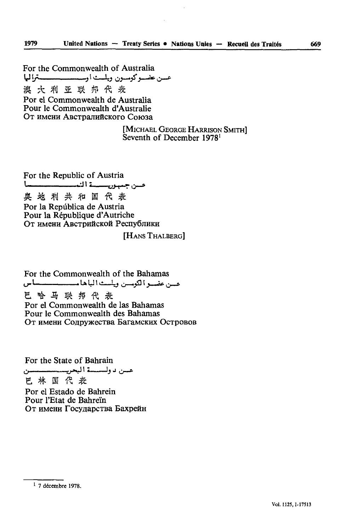For the Commonwealth of Australia عسن عضمو كوممون ويلمث اوسمسمممسمستراليا 澳大利亚联邦代表 Por el Commonwealth de Australia Pour le Commonwealth d'Australie От имени Австралийского Союза

> [MICHAEL GEORGE HARRISON SMITH] Seventh of December 1978<sup>1</sup>

For the Republic of Austria عسن جمهوريسسمة النمسسسس 奥地利共和国代表 Por la República de Austria Pour la République d'Autriche От имени Австрийской Республики

[HANS THALBERG]

For the Commonwealth of the Bahamas عسن عضيو الكوسين ويلسث الباها مستستستسساس 巴哈马联邦代表 Por el Commonwealth de las Bahamas Pour le Commonwealth des Bahamas От имени Содружества Багамских Островов

For the State of Bahrain عمن دولسمة البحريسمسمسمس 巴林国代表 Por el Estado de Bahrein Pour l'Etat de Bahreïn От имени Государства Бахрейн

<sup>1979</sup> 

<sup>&</sup>lt;sup>1</sup> 7 décembre 1978.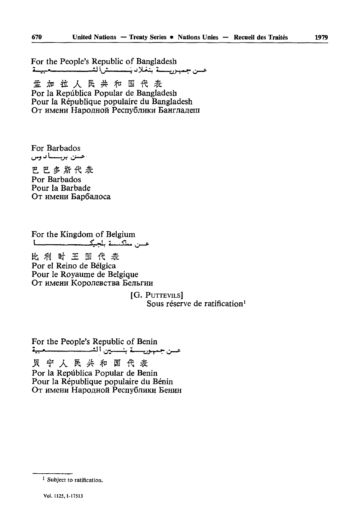For the People's Republic of Bangladesh عسن حميورسسة بتغلاد بسسسش الشيسسسسسمبيسة

孟加拉人民共和国代表 Por la República Popular de Bangladesh Pour la République populaire du Bangladesh От имени Народной Республики Бангладеш

For Barbados - عــــن بربــــــــا د وس

巴巴多斯代表 Por Barbados Pour la Barbade От имени Барбадоса

For the Kingdom of Belgium عسن مملكسية بلجيك مستسمست

比利时王国代表 Por el Reino de Bélgica Pour le Royaume de Belgique От имени Королевства Бельгии

> [G. PUTTEVILS] Sous réserve de ratification<sup>1</sup>

For the People's Republic of Benin عسن جمهوريسمة بنسمين الشمسمسمسمعية

贝宁人民共和国代表 Por la República Popular de Benin Pour la République populaire du Bénin От имени Народной Республики Бенин

<sup>&</sup>lt;sup>1</sup> Subject to ratification.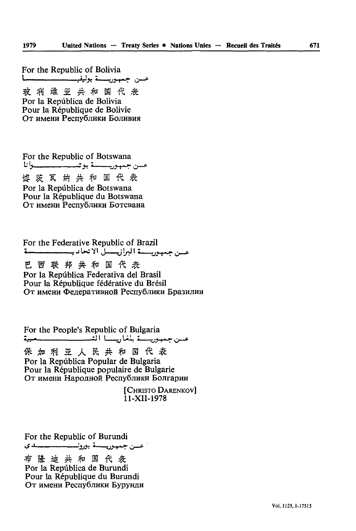For the Republic of Bolivia عسن جمهوريسسة بوليفيسمستسسسس 玻利维亚共和国代表 Por la República de Bolivia Pour la République de Bolivie От имени Республики Боливия

For the Republic of Botswana عسن جمهلوريسمسة بوتسممسمسمسموانا 博茨瓦纳共和国代表 Por la República de Botswana Pour la République du Botswana От имени Республики Ботсвана

For the Federative Republic of Brazil عسن جمهوريسمة البرازيسمل الاتحاد يستستسمسمة 巴西联邦共和国代表 Por la República Federativa del Brasil Pour la République fédérative du Brésil От имени Федеративной Республики Бразилии

For the People's Republic of Bulgaria عسن جمهوريسسة بلغاريسما الشمسمسمسمسمعبية 保加利亚人民共和国代表 Por la República Popular de Bulgaria Pour la République populaire de Bulgarie От имени Народной Республики Болгарии

> [CHRISTO DARENKOV] 11-XII-1978

For the Republic of Burundi عين جمهوريسسة بورونسيستستسبندي 布隆迪共和国代表 Por la República de Burundi Pour la République du Burundi От имени Республики Бурунди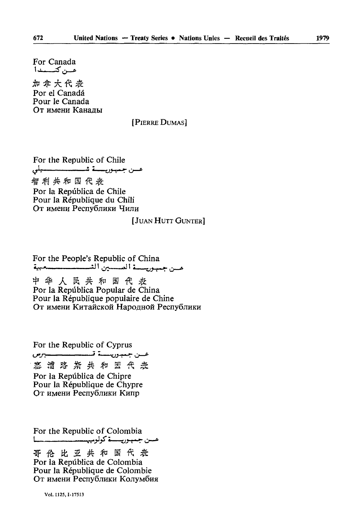For Canada عىن كىسىدا

加拿大代表 Por el Canadá Pour le Canada От имени Канады

#### [PIERRE DUMAS]

For the Republic of Chile عسن جمهوريسسة شمسسسسمسميلي 智利共和国代表 Por la República de Chile Pour la République du Chili От имени Республики Чили

#### [JUAN HUTT GUNTER]

For the People's Republic of China عسن جمهوريسسة المسسين الشمستسمسميية

中华人民共和国代表 Por la República Popular de China Pour la République populaire de Chine От имени Китайской Народной Республики

For the Republic of Cyprus عسن جمهوريسمة قسمسمسمسموص 器漕路斯共和国代表 Por la República de Chipre Pour la République de Chypre От имени Республики Кипр

For the Republic of Colombia عسن جمهوريسسة كولومبيسسسسسسسسسا

哥伦比亚共和国代表 Por la República de Colombia Pour la République de Colombie От имени Республики Колумбия

Vol. 1125, I-17513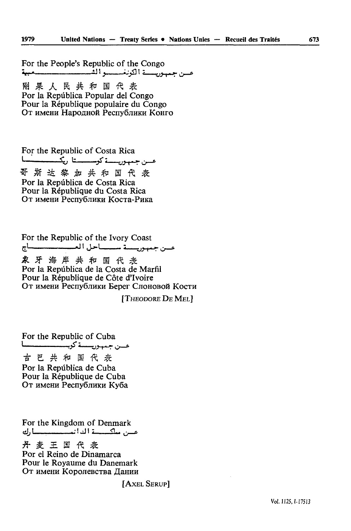For the People's Republic of the Congo عسن جمهوريسية الكونغسسسو الشيسي للمسة

刚果人民共和国代表 Por la República Popular del Congo Pour la République populaire du Congo От имени Народной Республики Конго

1979

For the Republic of Costa Rica عسن جمهوريسمة كوسسمستنا ويكمسمستسلما 哥斯达黎加共和国代表 Por la República de Costa Rica Pour la République du Costa Rica От имени Республики Коста-Рика

For the Republic of the Ivory Coast عسن جمهوريسية مستساحل المستقصصيصاح 象牙海岸共和国代表 Por la República de la Costa de Marfil Pour la République de Côte d'Ivoire От имени Республики Берег Слоновой Кости

[THEODORE DE MEL]

For the Republic of Cuba عسن جمهوريسسة كويستستسسسلم 古巴共和国代表 Por la República de Cuba Pour la République de Cuba От имени Республики Куба

For the Kingdom of Denmark عسن ملكسسة الدانيستستسسارك

丹麦王国代表 Por el Reino de Dinamarca Pour le Royaume du Danemark От имени Королевства Дании

[AXEL SERUP]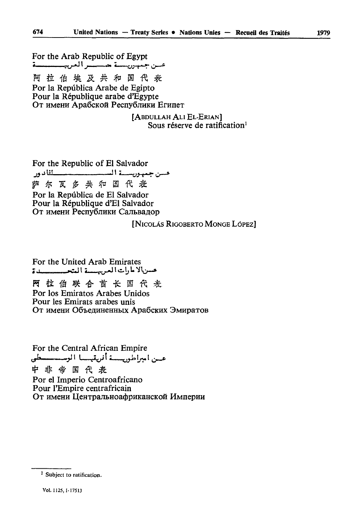For the Arab Republic of Egypt عسن جمهوريسمة مسسسر العربيسسمسمة 阿拉伯埃及共和国代表 Por la República Arabe de Egipto

Pour la République arabe d'Egypte От имени Арабской Республики Египет

> [ABDULLAH ALI EL-ERIAN] Sous réserve de ratification<sup>1</sup>

For the Republic of El Salvador عسن جمهوريسمة المستستستستمسملقادور 萨尔瓦多共和国代表 Por la República de El Salvador Pour la République d'El Salvador От имени Республики Сальвадор

[NICOLÁS RIGOBERTO MONGE LÓPEZ]

For the United Arab Emirates حسنالا مارات العربيسمة المتحسسسسلدة

阿拉伯联合酋长国代表 Por los Emiratos Arabes Unidos Pour les Emirats arabes unis От имени Объединенных Арабских Эмиратов

For the Central African Empire عسن امبراطوريسسة أفريقيسما الوسمسمسطي 中非帝国代表 Por el Imperio Centroafricano Pour l'Empire centrafricain От имени Центральноафриканской Империи

<sup>&</sup>lt;sup>1</sup> Subject to ratification.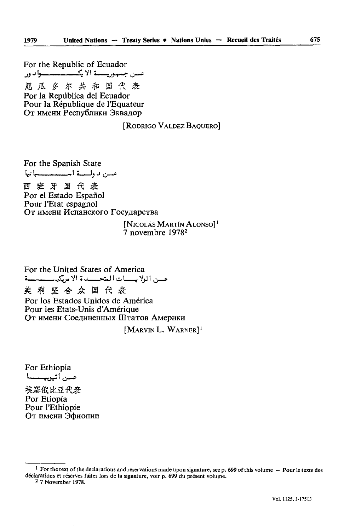For the Republic of Ecuador عسن جمهوريسسة الايكسيستستسبوادور 厄瓜多尔共和国代表 Por la República del Ecuador Pour la République de l'Equateur От имени Республики Эквадор

[RODRIGO VALDEZ BAQUERO]

For the Spanish State عسن دولسية استستستيبانها

1979

西班牙国代表 Por el Estado Español Pour l'Etat espagnol От имени Испанского Государства

> [NICOLÁS MARTÍN ALONSO]<sup>1</sup>  $7$  novembre  $1978<sup>2</sup>$

For the United States of America عسن الولا بسسات المتحسسة قرالا مرتكب مستعسسة 美利坚合众国代表 Por los Estados Unidos de América Pour les Etats-Unis d'Amérique От имени Соединенных Штатов Америки

[MARVIN L. WARNER]<sup>1</sup>

For Ethiopia عسن اثيوبيسسيا

埃塞俄比亚代表 Por Etiopía Pour l'Ethiopie

От имени Эфиопии

<sup>&</sup>lt;sup>1</sup> For the text of the declarations and reservations made upon signature, see p. 699 of this volume  $-$  Pour le texte des déclarations et réserves faites lors de la signature, voir p. 699 du présent volume.

<sup>&</sup>lt;sup>2</sup> 7 November 1978.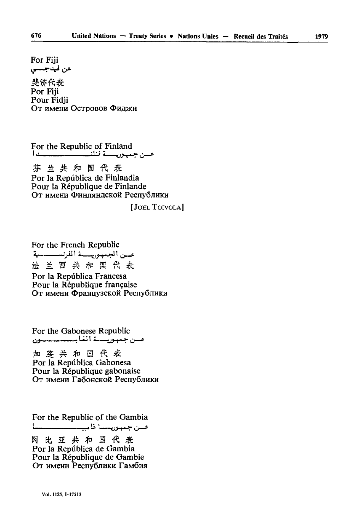For Fiii عن فيدجسس 斐济代表 Por Fiii Pour Fidii От имени Островов Фиджи

For the Republic of Finland عسن جمهوريسسة فنلنسمستستسسسمدا

芬兰共和国代表 Por la República de Finlandia Pour la République de Finlande От имени Финляндской Республики

[JOEL TOIVOLA]

For the French Republic عسن الجمهوريسية الفرنسيسيسية 法兰西共和国代表

Por la República Francesa Pour la République française От имени Французской Республики

For the Gabonese Republic عسن جمهوريسمة الغابسمسمسمون

加莲共和国代表 Por la República Gabonesa Pour la République gabonaise От имени Габонской Республики

For the Republic of the Gambia

هسن جمهوريمسة قامييسسسسس

冈比亚共和国代表 Por la República de Gambia Pour la République de Gambie От имени Республики Гамбия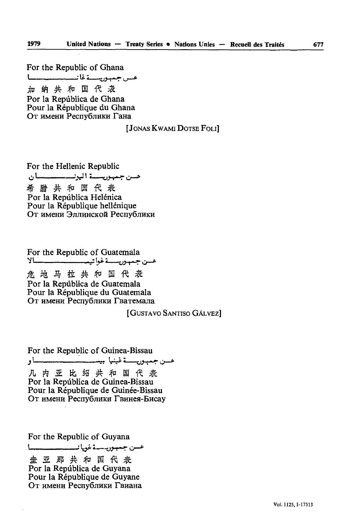For the Republic of Ghana عس جمهوريسية غانيسيسيسيسيا 加纳共和国代表 Por la República de Ghana Pour la République du Ghana От имени Республики Гана

1979

[JONAS KWAMI DOTSE FOLI]

For the Hellenic Republic عسن جمهوريسمة اليونسمسمسمسان 希腊共和国代表 Por la República Helénica Pour la République hellénique От имени Эллинской Республики

For the Republic of Guatemala عسن جسوريسسة غوا تستستستسسسسسالا 危地马拉共和国代表

Por la República de Guatemala Pour la République du Guatemala От имени Республики Гватемала

**[GUSTAVO SANTISO GÁLVEZ]** 

For the Republic of Guinea-Bissau عسن جمهوريسية غينيا بيست تستستستست 几内亚比绍共和国代表 Por la República de Guinea-Bissau Pour la République de Guinée-Bissau От имени Республики Гвинея-Бисау

For the Republic of Guyana عسن جمهوريسمة غويا تسممسس

圭亚那共和国代表 Por la República de Guyana Pour la République de Guyane От имени Республики Гвиана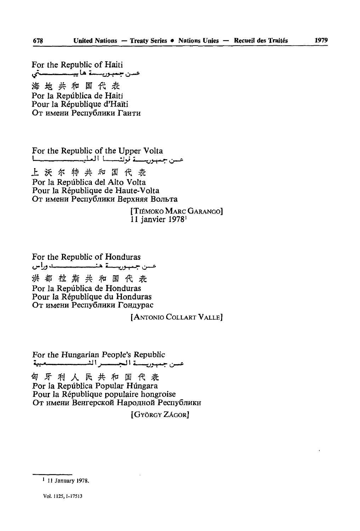For the Republic of Haiti<br>عسن جمهوریسس**ة ها پی**سسسسم<del>ت</del>ی

海地共和国代表 Por la Repùblica de Haiti Pour la République d'Haïti От имени Республики Гаити

For the Republic of the Upper Volta<br>عسن جمهوريت فولتسبب أ العليمية

上沃尔特共和国代表 Por la Repùblica del Alto Volta Pour la République de Haute-Volta От имени Республики Верхняя Вольта

> [TIÉMOKO MARC GARANGO]  $11$  janvier 1978<sup>1</sup>

For the Republic of Honduras 洪都拉斯共和国代表

Por la Repùblica de Honduras Pour la République du Honduras От имени Республики Гондурас

[ANTONIO COLLART VALLE]

For the Hungarian People's Republic 匈牙利人民共和国代表 Por la Repùblica Popular Hùngara Pour la République populaire hongroise От имени Венгерской Народной Республики

[GYÔRGY ZÂGOR]

<sup>&</sup>lt;sup>1</sup> 11 January 1978.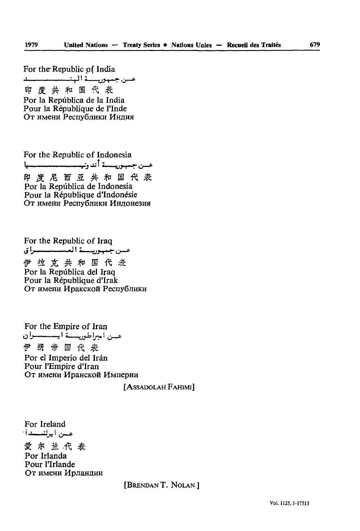For the Republic of India عسن جمهوريسمة الهنمسمسمسمسم 印度共和国代表 Por la República de la India Pour la République de l'Inde

1979

От имени Республики Индия

For the Republic of Indonesia عسن جمهوريسسة أند وتيسسسسسسسسسا 印度尼西亚共和国代表 Por la República de Indonesia Pour la République d'Indonésie От имени Республики Индонезия

For the Republic of Iraq عسن جمهوريسسة العسسسسسواق 伊拉克共和国代表 Por la República del Iraq Pour la République d'Irak От имени Иракской Республики

For the Empire of Iran عسن امبراطوريسسة ايستمسسوان 伊朗帝国代表 Por el Imperio del Irán Pour l'Empire d'Iran От имени Иранской Империи

[ASSADOLAH FAHIMI]

For Ireland عسن أيرلتسسدة:

爱尔兰代表 Por Irlanda Pour l'Irlande От имени Ирландии

[BRENDAN T. NOLAN]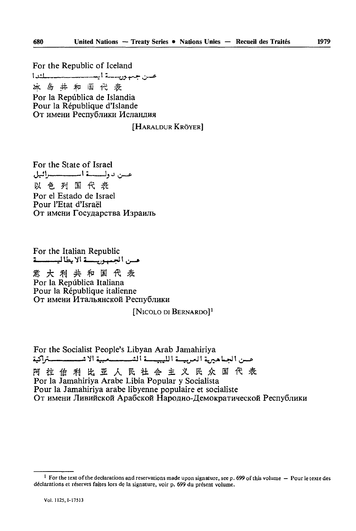For the Republic of Iceland عسن حسون سببة العسب بسيطينها 冰岛共和国代表 Por la República de Islandia Pour la République d'Islande От имени Республики Исландия

[HARALDUR KRÖYER]

For the State of Israel عبان دولسيانة استستنب والهل 以色列国代表 Por el Estado de Israel Pour l'Etat d'Israël От имени Государства Израиль

For the Italian Republic عدن المسوريت الايطالية

意大利共和国代表 Por la República Italiana Pour la République italienne От имени Итальянской Республики

[NICOLO DI BERNARDO]<sup>1</sup>

For the Socialist People's Libyan Arab Jamahiriya عسن الجعاهيرية العربيسة الليبيسسة الشكسسعيية الاشكسسستراكية 阿拉伯利比亚人民社会主义民众国代表 Por la Jamahiriya Arabe Libia Popular y Socialista Pour la Jamahiriya arabe libyenne populaire et socialiste От имени Ливийской Арабской Народно-Демократической Республики

<sup>&</sup>lt;sup>1</sup> For the text of the declarations and reservations made upon signature, see p. 699 of this volume  $-$  Pour le texte des déclarations et réserves faites lors de la signature, voir p. 699 du présent volume.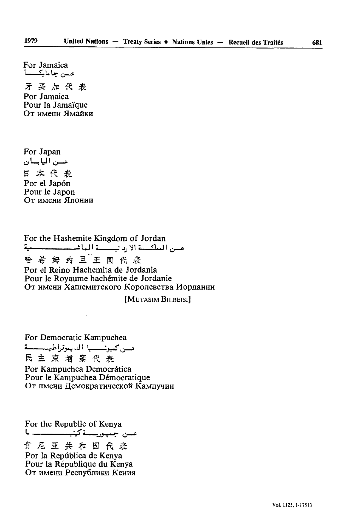For Jamaica

牙买加代表 Por Jamaica Pour la Jamaïque От имени Ямайки

For Japan 日本代表 Por el Japon Pour le Japon От имени Японии

For the Hashemite Kingdom of Jordan 1-———————:L«Jl;\_\_~j,Vi;—*<L^\*  哈希姆约旦王国代表<br>Por el Reino Hachemita de Jordania Pour le Royaume hachémite de Jordanie<br>От имени Хашемитского Королевства Иордании

[MUTASIM BILBEISI]

For Democratic Kampuchea هـــن ك<del>مبوئــــــبا الديموتراطيــــــــة</del><br>民主 京 埔 寨 代 表<br>Por Kampuchea Democrática Pour le Kampuchea Démocratique<br>От имени Демократической Кампучии

For the Republic of Kenya L\_\_\_\_\_\_\_*-jfi.*  肯尼亚共和国代表 Por la República de Kenya<br>Pour la République du Kenya<br>От имени Республики Кения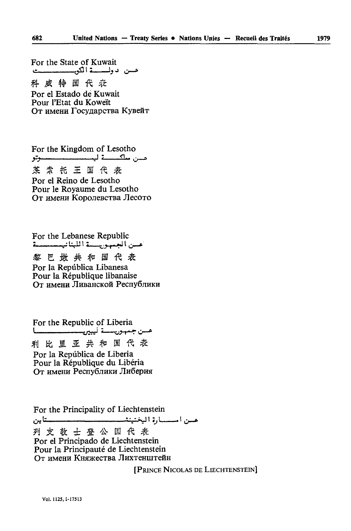**For thé State of Kuwait** 

科威特国代表 Por el Estado de Kuwait<br>Pour l'Etat du Koweït<br>От имени Государства Кувейт

For the Kingdom of Lesotho 来 索 托 王 国 代 表<br>Por el Reino de Lesotho Pour le Royaume du Lesotho **OT HM6HH KopOJICBCTBa JlCCOTO** 

For the Lebanese Republic

黎巴嫩共和国代表 Por la República Libanesa<br>Pour la République libanaise<br>От имени Ливанской Республики

For the Republic of Liberia<br>عسن جمهوريسسة ليبيريسسيا 利比里亚共和国代表 Por la República de Liberia Pour la République du Libéria<br>От имени Республики Либерия

For the Principality of Liechtenstein عـن امـــارة البختين<del>د ــــــــــــــــــــــــا</del>ين<br>列 支 敦 士 登 公 国 代 表 Por el Principado de Liechtenstein Pour la Principauté de Liechtenstein От имени Княжества Лихтенштейн

[PRINCE NICOLAS DE LIECHTENSTEIN]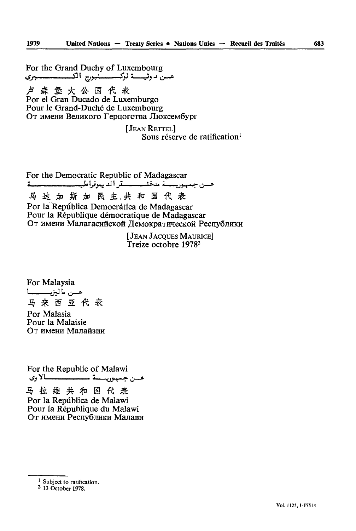For the Grand Duchy of Luxembourg 卢森堡大公国代表 Por el Gran Ducado de Luxemburgo Pour le Grand-Duché de Luxembourg От имени Великого Герцогства Люксембург [JEAN RETTEL] Sous réserve de ratification<sup>1</sup> For the Democratic Republic of Madagascar عسن جمهوريسية مدغثيسيسيقر الديموتراطيسيسسية 马达加斯加民主共和国代表

Por la República Democrática de Madagascar Pour la République démocratique de Madagascar От имени Малагасийской Демократической Республики

> [JEAN JACQUES MAURICE] Treize octobre 1978<sup>2</sup>

For Malaysia عسن ماليزيسســـا 马来西亚代表 Por Malasia Pour la Malaisie От имени Малайзии

1979

For the Republic of Malawi عسن جمهوريسسة مستستستسمالاوى

马拉维共和国代表 Por la República de Malawi Pour la République du Malawi От имени Республики Малави

<sup>&</sup>lt;sup>1</sup> Subject to ratification.

<sup>&</sup>lt;sup>2</sup> 13 October 1978.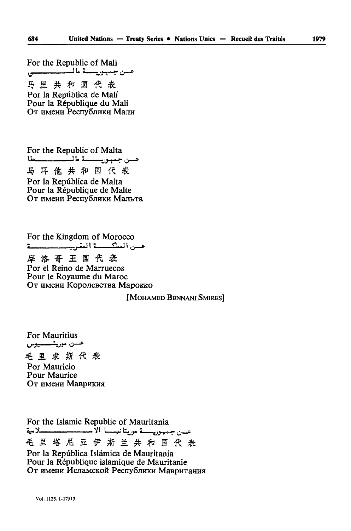For the Republic of Mali عسن جمهوريسسة مالستسمسد  $\sigma$ 马里共和国代表 Por la República de Malí Pour la République du Mali

От имени Республики Мали

For the Republic of Malta عسن جمهوريسمسة مالمتمسسمسطا 马耳他共和国代表 Por la República de Malta Pour la République de Malte От имени Республики Мальта

For the Kingdom of Morocco عبين الملكسسة المغربيسيستسسية

摩洛哥王国代表 Por el Reino de Marruecos Pour le Royaume du Maroc От имени Королевства Марокко

[MOHAMED BENNANI SMIRES]

For Mauritius عسن موريثــــــيوس 毛里求斯代表 Por Mauricio Pour Maurice От имени Маврикия

For the Islamic Republic of Mauritania عسن جمهوريسسة موريتا تبسسا الأسمسسا 毛里塔尼亚伊斯兰共和国代表

Por la República Islámica de Mauritania Pour la République islamique de Mauritanie От имени Исламской Республики Мавритания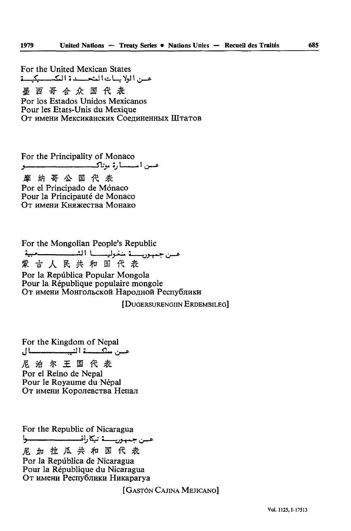For the United Mexican States عين الولايسات المتحسسدة العكسسيكية 墨西哥合众国代表 Por los Estados Unidos Mexicanos Pour les Etats-Unis du Mexique От имени Мексиканских Соединенных Штатов

For the Principality of Monaco عسن استنسارة موتاكسيستستستستستستو 摩纳哥公国代表

Por el Principado de Mónaco Pour la Principauté de Monaco От имени Княжества Монако

1979

For the Mongolian People's Republic عسن جمهوريسية منغوليسسيا الشمسسسسسسعبية 蒙古人民共和国代表

Por la República Popular Mongola Pour la République populaire mongole От имени Монгольской Наролной Республики

[DUGERSURENGIIN ERDEMBILEG]

For the Kingdom of Nepal عين ملكيسة النيبيسيسيطال 尼泊尔王国代表 Por el Reino de Nepal Pour le Royaume du Népal От имени Королевства Непал

For the Republic of Nicaragua عسن جمهوريسسة نيكاراغسسمسمسمسسوا 尼加拉瓜共和国代表 Por la República de Nicaragua

Pour la République du Nicaragua От имени Республики Никарагуа

**I GASTÓN CAJINA MEJICANO**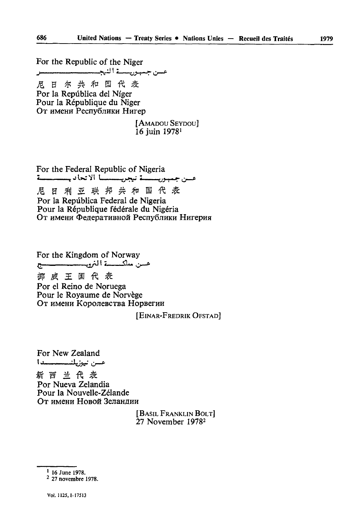For the Republic of the Niger عسن جمهوريسية النيجسسي 尼日尔共和国代表 Por la República del Níger Pour la République du Niger От имени Республики Нигер

> [AMADOU SEYDOU] 16 juin 1978<sup>1</sup>

For the Federal Republic of Nigeria عسن جمهوريسسسة تيجريسسسما الاتحاد يستستسمة 尼日利亚联邦共和国代表

Por la República Federal de Nigeria Pour la République fédérale du Nigéria От имени Федеративной Республики Нигерия

For the Kingdom of Norway  $\sim$ 

挪威王国代表 Por el Reino de Noruega Pour le Royaume de Norvège От имени Королевства Норвегии

[EINAR-FREDRIK OFSTAD]

For New Zealand عس تيوزيلنسسسسدا 新西兰代表 Por Nueva Zelandia Pour la Nouvelle-Zélande От имени Новой Зеландии

> [BASIL FRANKLIN BOLT] 27 November 1978<sup>2</sup>

686

<sup>&</sup>lt;sup>1</sup> 16 June 1978.

<sup>&</sup>lt;sup>2</sup> 27 novembre 1978.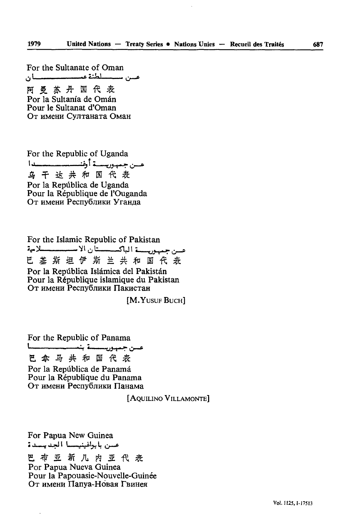For the Sultanate of Oman عسن سيستلطنة عمسيستسسيسيان 阿曼苏丹国代表 Por la Sultanía de Omán Pour le Sultanat d'Oman

От имени Султаната Оман

For the Republic of Uganda عسن جمهروريسية أوغنسيسيسيسيسية ا 乌干达共和国代表 Por la República de Uganda Pour la République de l'Ouganda От имени Республики Уганда

For the Islamic Republic of Pakistan عسن جمهوريسمة الباكسيسمتأن الاستستستسلامة 巴基斯坦伊斯兰共和国代表 Por la República Islámica del Pakistán Pour la République islamique du Pakistan От имени Республики Пакистан

[M.YUSUF BUCH]

For the Republic of Panama عسن جمهوريسسمة بنمستيسسسسس

巴拿马共和国代表 Por la República de Panamá Pour la République du Panama От имени Республики Панама

[AQUILINO VILLAMONTE]

For Papua New Guinea عسن بابواغينيسسا الجديسمدة 巴布亚新几内亚代表 Por Papua Nueva Guinea Pour la Papouasie-Nouvelle-Guinée

От имени Папуа-Новая Гвинея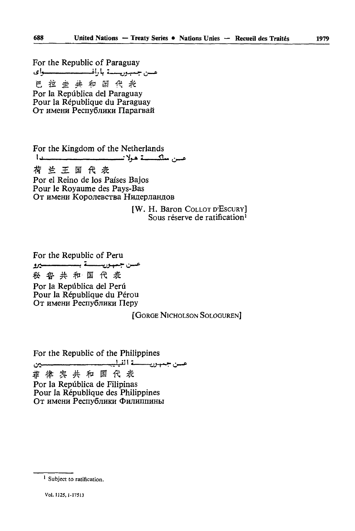For the Republic of Paraguay عسن جمهوريسمة باراغسمسمسمسمحاي 巴拉圭共和国代表 Por la República del Paraguay Pour la République du Paraguay От имени Республики Парагвай

For the Kingdom of the Netherlands عين ملك على الأمولا للمستستقصية المستقرر المستقرر 荷兰王国代表 Por el Reino de los Países Bajos Pour le Royaume des Pays-Bas От имени Королевства Нидерландов

> IW. H. Baron COLLOT D'ESCURY] Sous réserve de ratification<sup>1</sup>

For the Republic of Peru عسن جمهوريسسمة بمستستعمليرو **秘 兽 共 和 国 代 表** Por la República del Perú Pour la République du Pérou От имени Республики Перу

**[GORGE NICHOLSON SOLOGUREN]** 

For the Republic of the Philippines عسن جمهوريسسسة القيلمسم ـــــــر. 菲律宾共和国代表 Por la República de Filipinas Pour la République des Philippines От имени Республики Филиппины

<sup>&</sup>lt;sup>1</sup> Subject to ratification.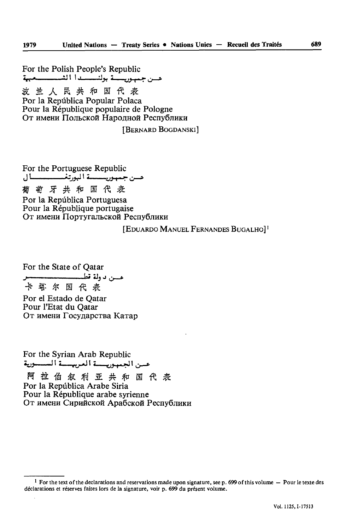For the Polish People's Republic صن جمهوريسية بولنسسيدا الشيسسيمية 波兰人民共和国代表 Por la República Popular Polaca Pour la République populaire de Pologne От имени Польской Народной Республики

[BERNARD BOGDANSKI]

For the Portuguese Republic حسن جمهورية فسيسة اليورتغب مستسلمال 葡萄牙共和国代表 Por la República Portuguesa Pour la République portugaise От имени Португальской Республики

[EDUARDO MANUEL FERNANDES BUGALHO]<sup>1</sup>

For the State of Qatar ميين برولة قطيبيسيسيس 卡塔尔国代表 Por el Estado de Qatar Pour l'Etat du Oatar От имени Государства Катар

For the Syrian Arab Republic عسن الجمهوريسية العربيسية المستورية 阿拉伯叙利亚共和国代表 Por la República Arabe Siria Pour la République arabe syrienne От имени Сирийской Арабской Республики

<sup>&</sup>lt;sup>1</sup> For the text of the declarations and reservations made upon signature, see p. 699 of this volume  $-$  Pour le texte des déclarations et réserves faites lors de la signature, voir p. 699 du présent volume.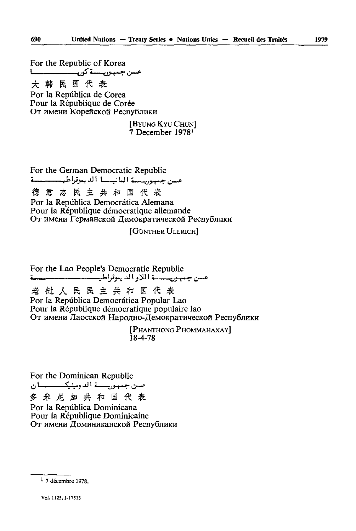For the Republic of Korea L 大韩民国代表

*Por* la Repûblica de Corea Pour la République de Corée От имени Корейской Республики

> [BYUNG KYU CHUN] 7 December 1978 1

For the German Democratic Republic عمن جمهوريمسة العانيمسا الديعوتراطيمسمسمسة 德意志民主共和国代表 Por la República Democrática Alemana<br>Pour la République démocratique allemande От имени Германской Демократической Республики

[GONTHER ULLRICH]

For the Lao People's Democratic Republic 老挝人民民主共和国代表 Por la Repûblica Democrâtica Popular Lao Pour la République démocratique populaire lao От имени Лаосской Народно-Демократической Республики

[PHANTHONG PHOMMAHAXAY] 18-4-78

For the Dominican Republic 多米尼加共和国代表 Por la Repûblica Dominicana Pour la République Dominicaine От имени Доминиканской Республики

<sup>1 7</sup> décembre 1978.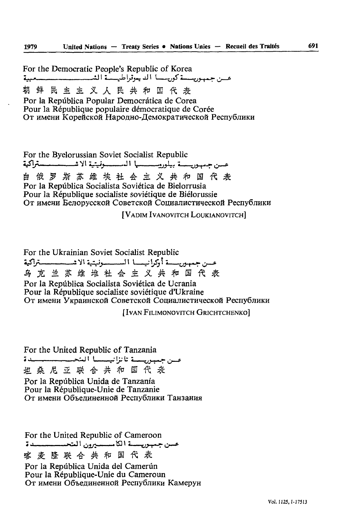For the Democratic People's Republic of Korea عسن جمهوريسية كوريسيا الديقوتراطيسية الشهيسية مستستعيبة 朝鲜民主主义人民共和国代表 Por la República Popular Democrática de Corea Pour la République populaire démocratique de Corée От имени Корейской Народно-Демократической Республики

1979

For the Byelorussian Soviet Socialist Republic عسن جمهوريسمة ببلوروسمسسها المسمسونيتية الاشمسمسمسمقراكية 白 俄 罗 斯 苏 维 埃 社 会 主 义 共 和 国 代 表 Por la República Socialista Soviética de Bielorrusia Pour la République socialiste soviétique de Biélorussie От имени Белорусской Советской Социалистической Республики

[VADIM IVANOVITCH LOUKIANOVITCH]

For the Ukrainian Soviet Socialist Republic عسن جمهوريسمة أوكرانيمسا المسمسونيتية الاشممسمسمتراكية 乌克兰苏维堆社会主义共和国代表 Por la República Socialista Soviética de Ucrania Pour la République socialiste soviétique d'Ukraine От имени Украинской Советской Социалистической Республики

**IIVAN FILIMONOVITCH GRICHTCHENKOI** 

For the United Republic of Tanzania عسن جمهوريسسة تائزانيسسا المتحسسسسسسدة 坦桑尼亚联合共和国代表 Por la República Unida de Tanzanía Pour la République-Unie de Tanzanie От имени Объединенной Республики Танзания

For the United Republic of Cameroon عسن جمهوريسمة الكامسسيرون المتحسسسسسدة 喀 麦 隆 联 合 共 和 国 代 表 Por la República Unida del Camerún Pour la République-Unie du Cameroun От имени Объединенной Республики Камерун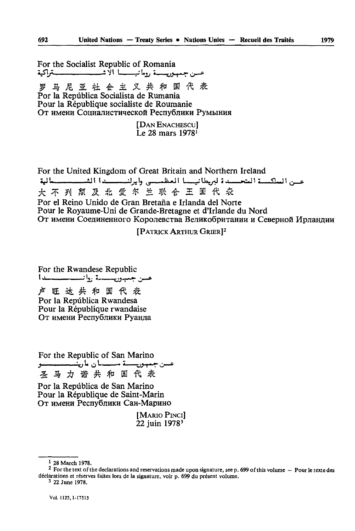For the Socialist Republic of Romania عسن جمهوريسسة رومانيسسسا الأشسسسسسسسسسستراكية 罗马尼亚社会主义共和国代表 Por la República Socialista de Rumania Pour la République socialiste de Roumanie От имени Социалистической Республики Румыния

> **[DAN ENACHESCU]** Le 28 mars  $1978^{\overline{i}}$

For the United Kingdom of Great Britain and Northern Ireland عبن الملكسة المتحسدة لبريطانيمما المظمسي وايرلنمسسدا الشسمسمطلية 大不列颠及北爱尔兰联合王国代表 Por el Reino Unido de Gran Bretaña e Irlanda del Norte Pour le Royaume-Uni de Grande-Bretagne et d'Irlande du Nord От имени Соединенного Королевства Великобритании и Северной Ирландии

[PATRICK ARTHUR GRIER]<sup>2</sup>

For the Rwandese Republic عسن جعبون سسدة روانسمه مستحدا 卢旺达共和国代表 Por la República Rwandesa

Pour la République rwandaise От имени Республики Руанда

For the Republic of San Marino عسن جمهوريسسة سمسمسان ماريتسمسمسمسمو 圣马力诺共和国代表 Por la República de San Marino

Pour la République de Saint-Marin От имени Республики Сан-Марино

> [MARIO PINCI] 22 juin 1978<sup>3</sup>

<sup>&</sup>lt;sup>1</sup> 28 March 1978.

<sup>&</sup>lt;sup>2</sup> For the text of the declarations and reservations made upon signature, see p. 699 of this volume  $-$  Pour le texte des déclarations et réserves faites lors de la signature, voir p. 699 du présent volume.

<sup>&</sup>lt;sup>3</sup> 22 June 1978.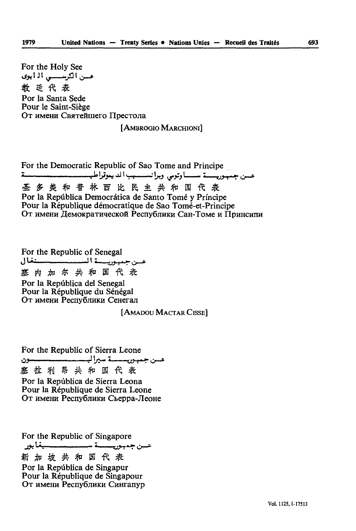For the Holy See عسن الكرنسسي الرايوي 教运代表 Por la Santa Sede Pour le Saint-Siège От имени Святейшего Престола

1979

[AMBROGIO MARCHIONI]

For the Democratic Republic of Sao Tome and Principe عمن جمهورسمنة سمساوتومي وبرانسسميم الديموقراطيسممممسمسمسمستة 圣多美和普林西比民主共和国代表 Por la República Democrática de Santo Tomé y Príncipe Pour la République démocratique de Sao Tomé-et-Principe От имени Демократической Республики Сан-Томе и Принсипи

For the Republic of Senegal عسن جمهوريسية المستستستستنغال 塞内加尔共和国代表 Por la República del Senegal Pour la République du Sénégal От имени Республики Сенегал

[AMADOU MACTAR CISSE]

For the Republic of Sierra Leone عسن جمهوريسسية مجرا ليستستستستستسون 塞拉利昂共和国代表 Por la República de Sierra Leona Pour la République de Sierra Leone От имени Республики Сьерра-Леоне

For the Republic of Singapore عسن جمهوريسسمة مستستستستسيغابور 新加坡共和国代表 Por la República de Singapur Pour la République de Singapour От имени Республики Сингапур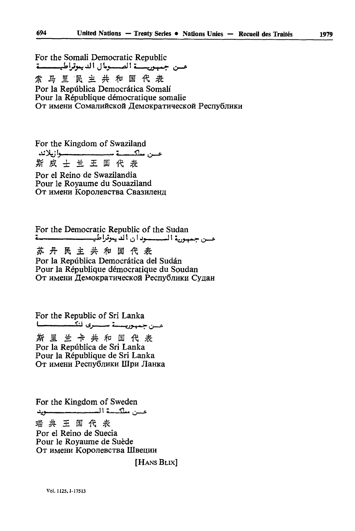For the Somali Democratic Republic l jLj—Jl 索马里民主共和国代表 Por la República Democrática Somalí<br>Pour la République démocratique somalie От имени Сомалийской Демократической Республики

For the Kingdom of Swaziland 斯威士兰王国代表 Por el Reino de Swazilandia Pour le Royaume du Souaziland От имени Королевства Свазиленд

For the Democratic Republic of the Sudan عين جمهورية المستحودان المأيعوتراطيسسسسسسمة

苏丹民主共和国代表 Por la República Democrática del Sudán<br>Pour la République démocratique du Soudan<br>От имени Демократической Республики Судан

For the Republic of Sri Lanka<br>حسن جمہوریسسٹ مسسول لنکسسسسسسا

斯里兰卡共和国代表 Por la República de Sri Lanka<br>Pour la République de Sri Lanka<br>От имени Республики Шри Ланка

For the Kingdom of Sweden *J-.* **————————————————-Jl à** 

瑞典王国代表 Por el Reino de Suecia Pour le Royaume de Suède От имени Королевства Швеции

[HANS BLIX]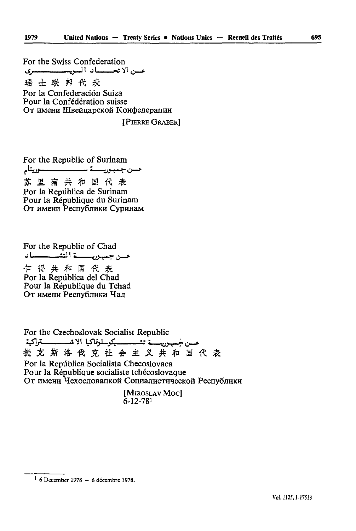For the Swiss Confederation عب). الاتحسساد الموسسسسسرى 瑞士联邦代表 Por la Confederación Suiza Pour la Confédération suisse От имени Швейцарской Конфедерации

1979

[PIERRE GRABER]

For the Republic of Surinam عسن جمهوريسمة سمسمسمسمورينام 苏里南共和国代表 Por la República de Surinam Pour la République du Surinam От имени Республики Суринам

For the Republic of Chad عسن جمهوريسمة التشهيسات 乍得共和国代表 Por la República del Chad Pour la République du Tchad

От имени Республики Чад

For the Czechoslovak Socialist Republic عسن جمهوريسمة تشممسسيكوسلوقاكيا الاشممسسستراكية 捷克斯洛伐克社会主义共和国代表 Por la República Socialista Checoslovaca Pour la République socialiste tchécoslovaque От имени Чехословацкой Социалистической Республики

> [MIROSLAV MOC]  $6 - 12 - 78$

 $16$  December 1978 - 6 décembre 1978.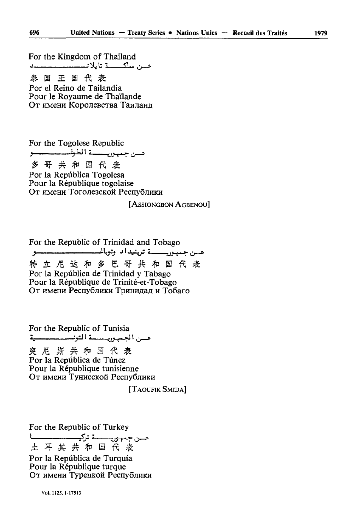For the Kingdom of Thailand حبن مەكسىنە ئايلانىسىسىسىسىدە 泰国王国代表 Por el Reino de Tailandia Pour le Rovaume de Thaïlande

От имени Королевства Таиланд

For the Togolese Republic عسن جمهوريسسية الطوفيسسسسسو 多哥共和国代表 Por la República Togolesa Pour la République togolaise От имени Тоголезской Республики

[ASSIONGBON AGBENOU]

For the Republic of Trinidad and Tobago عىن جمهوريسســــة ترينيداد وتوباغــــــــــــــــــــــــــــــــو 特立尼达和多巴哥共和国代表 Por la República de Trinidad y Tabago Pour la République de Trinité-et-Tobago От имени Республики Тринидал и Тобаго

For the Republic of Tunisia عبين الحسوريسسية التونيسسسيسية 突尼斯共和国代表

Por la República de Túnez Pour la République tunisienne От имени Тунисской Республики

[TAOUFIK SMIDA]

For the Republic of Turkey عسن جمهوريسسمة تركيستمستسمسما

土耳其共和国代表

Por la República de Turquía Pour la République turque От имени Турецкой Республики

Vol. 1125, I-17513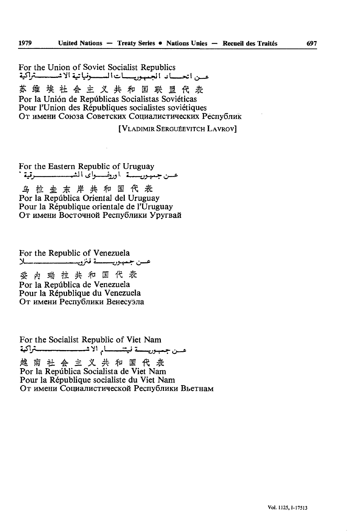For the Union of Soviet Socialist Republics عبدر انحسسابه العسودسسات المسسونيانية الاشسسسستراكية

1979

苏维埃社会主义共和国联盟代表 Por la Unión de Repúblicas Socialistas Soviéticas Pour l'Union des Républiques socialistes soviétiques От имени Союза Советских Социалистических Республик

[VLADIMIR SERGUÉEVITCH LAVROV]

For the Eastern Republic of Uruguay عسن جسيوريسسة للورونسسواي الشيسسسسسسرقية ا

乌拉圭东岸共和国代表 Por la República Oriental del Uruguay Pour la République orientale de l'Uruguay От имени Восточной Республики Уругвай

For the Republic of Venezuela عسن جمهوريسسمة فنزويسسمسمسمسملا

委内瑞拉共和国代表 Por la República de Venezuela Pour la République du Venezuela От имени Республики Венесуэла

For the Socialist Republic of Viet Nam عسن جمهوريسمة فيتنسسما بالاشمىسمىسمىسمىتراكية 越南社会主义共和国代表

Por la República Socialista de Viet Nam Pour la République socialiste du Viet Nam От имени Социалистической Республики Вьетнам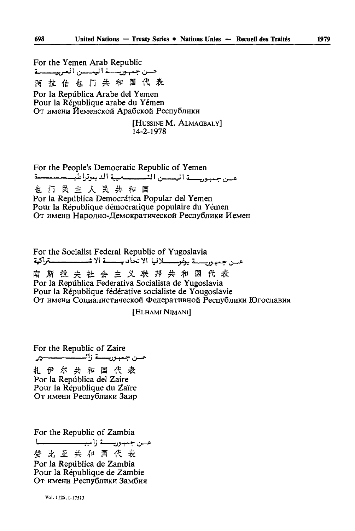For the Yemen Arab Republic عسن جمهوريسسة اليمسسن العربيسسسية 阿拉伯也门共和国代表 Por la República Arabe del Yemen Pour la République arabe du Yémen От имени Йеменской Арабской Республики

> [HUSSINE M. ALMAGBALY] 14-2-1978

For the People's Democratic Republic of Yemen عسن جمهوريسمة اليمسس الشمسمسمية الديموتراطيسمسمسمسة 也门民主人民共和国

Por la República Democrática Popular del Yemen Pour la République démocratique populaire du Yémen От имени Народно-Демократической Республики Йемен

For the Socialist Federal Republic of Yugoslavia عسن جمهوريسسة يوغوسسسلانيا الاتحاد يسسسة الاشسسسسسسسة أكبة 南 斯 拉 夫 社 会 主 义 联 邦 共 和 国 代 表 Por la República Federativa Socialista de Yugoslavia Pour la République fédérative socialiste de Yougoslavie От имени Социалистической Федеративной Республики Югославия

[ELHAMI NIMANI]

For the Republic of Zaire عسن جمهوريسسة زائمستسمسسمير

扎伊尔共和国代表 Por la República del Zaire Pour la République du Zaïre От имени Республики Заир

For the Republic of Zambia عسن جمهوريسمة زاميسمسمسمسمسل 赞比亚共和国代表 Por la República de Zambia Pour la République de Zambie От имени Республики Замбия

Vol. 1125, I-17513